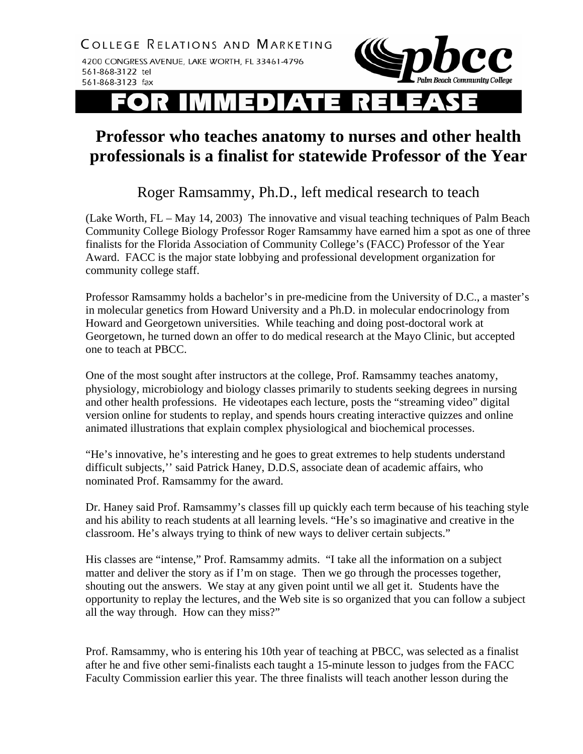

## EDIATE

## **Professor who teaches anatomy to nurses and other health professionals is a finalist for statewide Professor of the Year**

## Roger Ramsammy, Ph.D., left medical research to teach

(Lake Worth, FL – May 14, 2003) The innovative and visual teaching techniques of Palm Beach Community College Biology Professor Roger Ramsammy have earned him a spot as one of three finalists for the Florida Association of Community College's (FACC) Professor of the Year Award. FACC is the major state lobbying and professional development organization for community college staff.

Professor Ramsammy holds a bachelor's in pre-medicine from the University of D.C., a master's in molecular genetics from Howard University and a Ph.D. in molecular endocrinology from Howard and Georgetown universities. While teaching and doing post-doctoral work at Georgetown, he turned down an offer to do medical research at the Mayo Clinic, but accepted one to teach at PBCC.

One of the most sought after instructors at the college, Prof. Ramsammy teaches anatomy, physiology, microbiology and biology classes primarily to students seeking degrees in nursing and other health professions. He videotapes each lecture, posts the "streaming video" digital version online for students to replay, and spends hours creating interactive quizzes and online animated illustrations that explain complex physiological and biochemical processes.

"He's innovative, he's interesting and he goes to great extremes to help students understand difficult subjects,'' said Patrick Haney, D.D.S, associate dean of academic affairs, who nominated Prof. Ramsammy for the award.

Dr. Haney said Prof. Ramsammy's classes fill up quickly each term because of his teaching style and his ability to reach students at all learning levels. "He's so imaginative and creative in the classroom. He's always trying to think of new ways to deliver certain subjects."

His classes are "intense," Prof. Ramsammy admits. "I take all the information on a subject matter and deliver the story as if I'm on stage. Then we go through the processes together, shouting out the answers. We stay at any given point until we all get it. Students have the opportunity to replay the lectures, and the Web site is so organized that you can follow a subject all the way through. How can they miss?"

Prof. Ramsammy, who is entering his 10th year of teaching at PBCC, was selected as a finalist after he and five other semi-finalists each taught a 15-minute lesson to judges from the FACC Faculty Commission earlier this year. The three finalists will teach another lesson during the